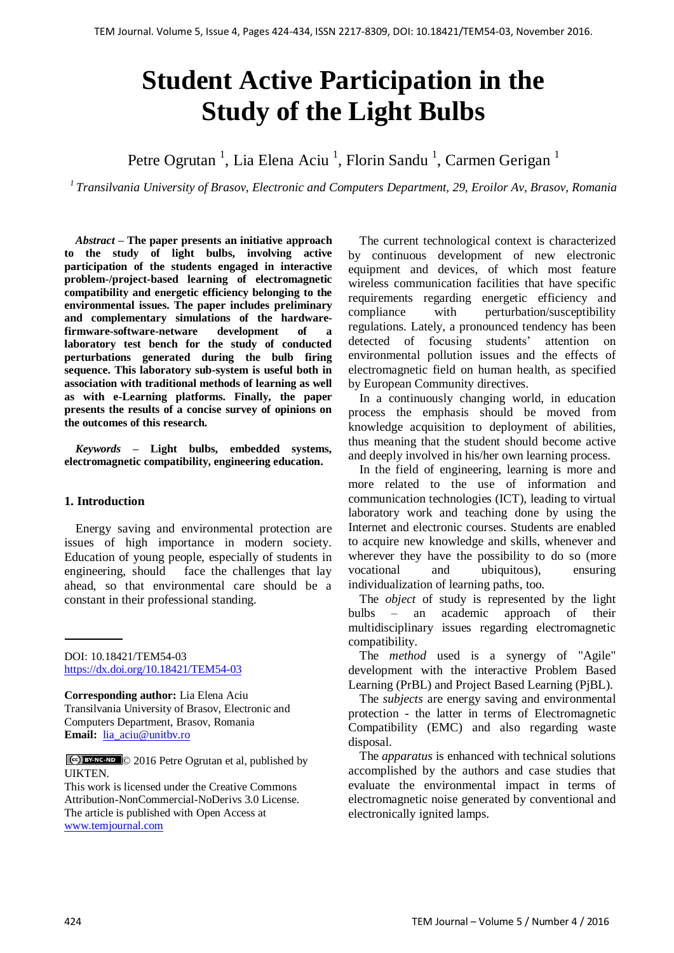# **Student Active Participation in the Study of the Light Bulbs**

Petre Ogrutan<sup>1</sup>, Lia Elena Aciu<sup>1</sup>, Florin Sandu<sup>1</sup>, Carmen Gerigan<sup>1</sup>

*1 Transilvania University of Brasov, Electronic and Computers Department, 29, Eroilor Av, Brasov, Romania*

*Abstract –* **The paper presents an initiative approach to the study of light bulbs, involving active participation of the students engaged in interactive problem-/project-based learning of electromagnetic compatibility and energetic efficiency belonging to the environmental issues. The paper includes preliminary and complementary simulations of the hardwarefirmware-software-netware development of a laboratory test bench for the study of conducted perturbations generated during the bulb firing sequence. This laboratory sub-system is useful both in association with traditional methods of learning as well as with e-Learning platforms. Finally, the paper presents the results of a concise survey of opinions on the outcomes of this research.**

*Keywords –* **Light bulbs, embedded systems, electromagnetic compatibility, engineering education.**

## **1. Introduction**

Energy saving and environmental protection are issues of high importance in modern society. Education of young people, especially of students in engineering, should face the challenges that lay ahead, so that environmental care should be a constant in their professional standing.

DOI: 10.18421/TEM54-03 <https://dx.doi.org/10.18421/TEM54-03>

**Corresponding author:** Lia Elena Aciu Transilvania University of Brasov, Electronic and Computers Department, Brasov, Romania **Email:** [lia\\_aciu@unitbv.ro](lia_aciu@unitbv.ro)

© 2016 Petre Ogrutan et al, published by **UIKTEN** 

This work is licensed under the Creative Commons Attribution-NonCommercial-NoDerivs 3.0 License. The article is published with Open Access at [www.temjournal.com](file:///D:/NAS%20CASOPIS%20I%20udruzenje/Brojevi/5-4/www.temjournal.com)

The current technological context is characterized by continuous development of new electronic equipment and devices, of which most feature wireless communication facilities that have specific requirements regarding energetic efficiency and compliance with perturbation/susceptibility regulations. Lately, a pronounced tendency has been detected of focusing students' attention on environmental pollution issues and the effects of electromagnetic field on human health, as specified by European Community directives.

In a continuously changing world, in education process the emphasis should be moved from knowledge acquisition to deployment of abilities, thus meaning that the student should become active and deeply involved in his/her own learning process.

In the field of engineering, learning is more and more related to the use of information and communication technologies (ICT), leading to virtual laboratory work and teaching done by using the Internet and electronic courses. Students are enabled to acquire new knowledge and skills, whenever and wherever they have the possibility to do so (more vocational and ubiquitous), ensuring individualization of learning paths, too.

The *object* of study is represented by the light bulbs – an academic approach of their multidisciplinary issues regarding electromagnetic compatibility.

The *method* used is a synergy of "Agile" development with the interactive Problem Based Learning (PrBL) and Project Based Learning (PjBL).

The *subjects* are energy saving and environmental protection - the latter in terms of Electromagnetic Compatibility (EMC) and also regarding waste disposal.

The *apparatus* is enhanced with technical solutions accomplished by the authors and case studies that evaluate the environmental impact in terms of electromagnetic noise generated by conventional and electronically ignited lamps.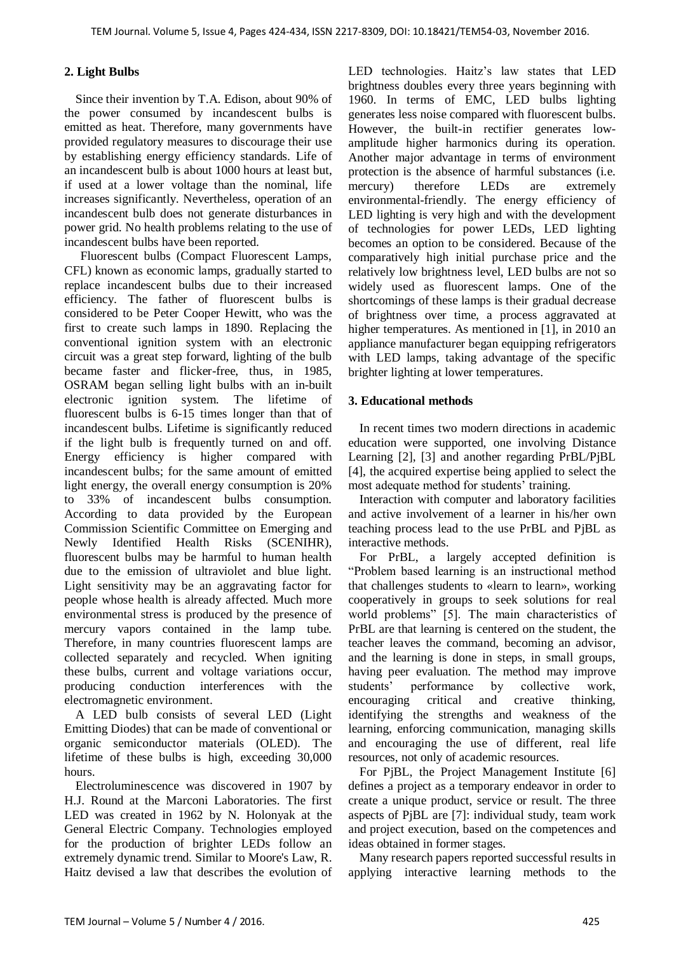# **2. Light Bulbs**

Since their invention by T.A. Edison, about 90% of the power consumed by incandescent bulbs is emitted as heat. Therefore, many governments have provided regulatory measures to discourage their use by establishing energy efficiency standards. Life of an incandescent bulb is about 1000 hours at least but, if used at a lower voltage than the nominal, life increases significantly. Nevertheless, operation of an incandescent bulb does not generate disturbances in power grid. No health problems relating to the use of incandescent bulbs have been reported.

Fluorescent bulbs (Compact Fluorescent Lamps, CFL) known as economic lamps, gradually started to replace incandescent bulbs due to their increased efficiency. The father of fluorescent bulbs is considered to be Peter Cooper Hewitt, who was the first to create such lamps in 1890. Replacing the conventional ignition system with an electronic circuit was a great step forward, lighting of the bulb became faster and flicker-free, thus, in 1985, OSRAM began selling light bulbs with an in-built electronic ignition system. The lifetime of fluorescent bulbs is 6-15 times longer than that of incandescent bulbs. Lifetime is significantly reduced if the light bulb is frequently turned on and off. Energy efficiency is higher compared with incandescent bulbs; for the same amount of emitted light energy, the overall energy consumption is 20% to 33% of incandescent bulbs consumption. According to data provided by the European Commission Scientific Committee on Emerging and Newly Identified Health Risks (SCENIHR), fluorescent bulbs may be harmful to human health due to the emission of ultraviolet and blue light. Light sensitivity may be an aggravating factor for people whose health is already affected. Much more environmental stress is produced by the presence of mercury vapors contained in the lamp tube. Therefore, in many countries fluorescent lamps are collected separately and recycled. When igniting these bulbs, current and voltage variations occur, producing conduction interferences with the electromagnetic environment.

A LED bulb consists of several LED (Light Emitting Diodes) that can be made of conventional or organic semiconductor materials (OLED). The lifetime of these bulbs is high, exceeding 30,000 hours.

Electroluminescence was discovered in 1907 by H.J. Round at the Marconi Laboratories. The first LED was created in 1962 by N. Holonyak at the General Electric Company. Technologies employed for the production of brighter LEDs follow an extremely dynamic trend. Similar to Moore's Law, R. Haitz devised a law that describes the evolution of LED technologies. Haitz"s law states that LED brightness doubles every three years beginning with 1960. In terms of EMC, LED bulbs lighting generates less noise compared with fluorescent bulbs. However, the built-in rectifier generates lowamplitude higher harmonics during its operation. Another major advantage in terms of environment protection is the absence of harmful substances (i.e. mercury) therefore LEDs are extremely environmental-friendly. The energy efficiency of LED lighting is very high and with the development of technologies for power LEDs, LED lighting becomes an option to be considered. Because of the comparatively high initial purchase price and the relatively low brightness level, LED bulbs are not so widely used as fluorescent lamps. One of the shortcomings of these lamps is their gradual decrease of brightness over time, a process aggravated at higher temperatures. As mentioned in [1], in 2010 an appliance manufacturer began equipping refrigerators with LED lamps, taking advantage of the specific brighter lighting at lower temperatures.

# **3. Educational methods**

In recent times two modern directions in academic education were supported, one involving Distance Learning [2], [3] and another regarding PrBL/PjBL [4], the acquired expertise being applied to select the most adequate method for students' training.

Interaction with computer and laboratory facilities and active involvement of a learner in his/her own teaching process lead to the use PrBL and PjBL as interactive methods.

For PrBL, a largely accepted definition is "Problem based learning is an instructional method that challenges students to «learn to learn», working cooperatively in groups to seek solutions for real world problems" [5]. The main characteristics of PrBL are that learning is centered on the student, the teacher leaves the command, becoming an advisor, and the learning is done in steps, in small groups, having peer evaluation. The method may improve students" performance by collective work, encouraging critical and creative thinking, identifying the strengths and weakness of the learning, enforcing communication, managing skills and encouraging the use of different, real life resources, not only of academic resources.

For PjBL, the Project Management Institute [6] defines a project as a temporary endeavor in order to create a unique product, service or result. The three aspects of PjBL are [7]: individual study, team work and project execution, based on the competences and ideas obtained in former stages.

Many research papers reported successful results in applying interactive learning methods to the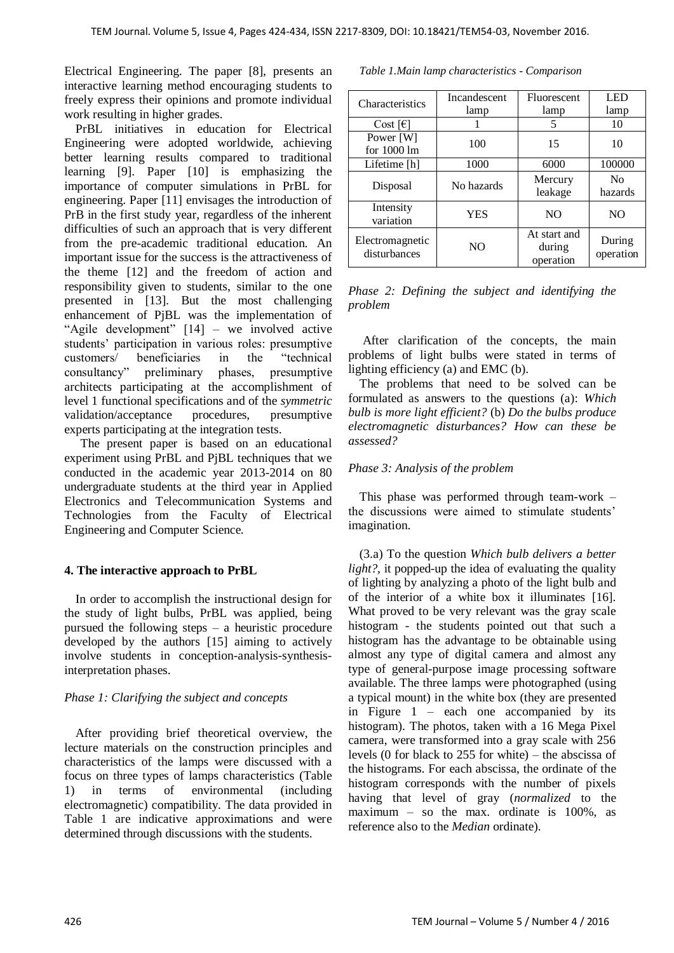Electrical Engineering. The paper [8], presents an interactive learning method encouraging students to freely express their opinions and promote individual work resulting in higher grades.

PrBL initiatives in education for Electrical Engineering were adopted worldwide, achieving better learning results compared to traditional learning [9]. Paper [10] is emphasizing the importance of computer simulations in PrBL for engineering. Paper [11] envisages the introduction of PrB in the first study year, regardless of the inherent difficulties of such an approach that is very different from the pre-academic traditional education. An important issue for the success is the attractiveness of the theme [12] and the freedom of action and responsibility given to students, similar to the one presented in [13]. But the most challenging enhancement of PjBL was the implementation of "Agile development" [14] – we involved active students" participation in various roles: presumptive customers/ beneficiaries in the "technical consultancy" preliminary phases, presumptive architects participating at the accomplishment of level 1 functional specifications and of the *symmetric* validation/acceptance procedures, presumptive experts participating at the integration tests.

The present paper is based on an educational experiment using PrBL and PjBL techniques that we conducted in the academic year 2013-2014 on 80 undergraduate students at the third year in Applied Electronics and Telecommunication Systems and Technologies from the Faculty of Electrical Engineering and Computer Science.

## **4. The interactive approach to PrBL**

In order to accomplish the instructional design for the study of light bulbs, PrBL was applied, being pursued the following steps – a heuristic procedure developed by the authors [15] aiming to actively involve students in conception-analysis-synthesisinterpretation phases.

# *Phase 1: Clarifying the subject and concepts*

After providing brief theoretical overview, the lecture materials on the construction principles and characteristics of the lamps were discussed with a focus on three types of lamps characteristics (Table 1) in terms of environmental (including electromagnetic) compatibility. The data provided in Table 1 are indicative approximations and were determined through discussions with the students.

|  | Table 1. Main lamp characteristics - Comparison |  |
|--|-------------------------------------------------|--|
|  |                                                 |  |

| Characteristics               | Incandescent   | Fluorescent     | <b>LED</b> |  |
|-------------------------------|----------------|-----------------|------------|--|
|                               | lamp           | lamp            | lamp       |  |
| Cost $\lceil \epsilon \rceil$ |                | 5               | 10         |  |
| Power [W]                     | 100            | 15              | 10         |  |
| for 1000 lm                   |                |                 |            |  |
| Lifetime [h]                  | 1000           | 6000            | 100000     |  |
|                               |                | Mercury         | $\rm No$   |  |
| Disposal                      | No hazards     | leakage         | hazards    |  |
| Intensity                     | YES            | NO <sub>1</sub> | NO.        |  |
| variation                     |                |                 |            |  |
| Electromagnetic               |                | At start and    | During     |  |
| disturbances                  | N <sub>O</sub> | during          | operation  |  |
|                               |                | operation       |            |  |

*Phase 2: Defining the subject and identifying the problem*

After clarification of the concepts, the main problems of light bulbs were stated in terms of lighting efficiency (a) and EMC (b).

The problems that need to be solved can be formulated as answers to the questions (a): *Which bulb is more light efficient?* (b) *Do the bulbs produce electromagnetic disturbances? How can these be assessed?*

# *Phase 3: Analysis of the problem*

This phase was performed through team-work – the discussions were aimed to stimulate students' imagination.

(3.a) To the question *Which bulb delivers a better light?,* it popped-up the idea of evaluating the quality of lighting by analyzing a photo of the light bulb and of the interior of a white box it illuminates [16]. What proved to be very relevant was the gray scale histogram - the students pointed out that such a histogram has the advantage to be obtainable using almost any type of digital camera and almost any type of general-purpose image processing software available. The three lamps were photographed (using a typical mount) in the white box (they are presented in Figure  $1$  – each one accompanied by its histogram). The photos, taken with a 16 Mega Pixel camera, were transformed into a gray scale with 256 levels (0 for black to 255 for white) – the abscissa of the histograms. For each abscissa, the ordinate of the histogram corresponds with the number of pixels having that level of gray (*normalized* to the maximum – so the max. ordinate is  $100\%$ , as reference also to the *Median* ordinate).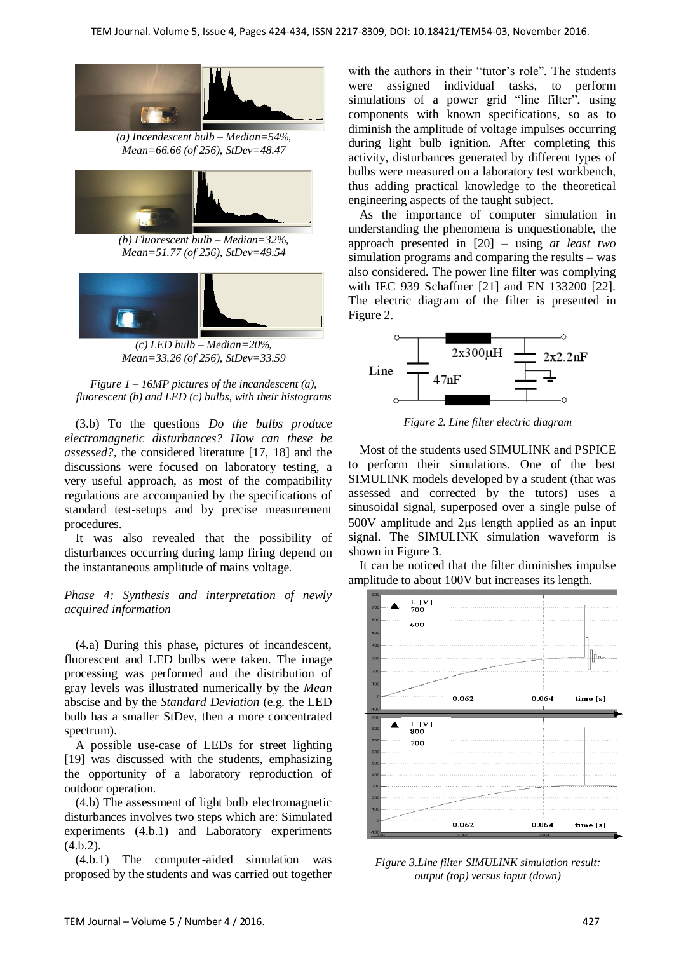

*(a) Incendescent bulb – Median=54%, Mean=66.66 (of 256), StDev=48.47*



*(b) Fluorescent bulb – Median=32%, Mean=51.77 (of 256), StDev=49.54*



*(c) LED bulb – Median=20%, Mean=33.26 (of 256), StDev=33.59*



(3.b) To the questions *Do the bulbs produce electromagnetic disturbances? How can these be assessed?,* the considered literature [17, 18] and the discussions were focused on laboratory testing, a very useful approach, as most of the compatibility regulations are accompanied by the specifications of standard test-setups and by precise measurement procedures.

It was also revealed that the possibility of disturbances occurring during lamp firing depend on the instantaneous amplitude of mains voltage.

*Phase 4: Synthesis and interpretation of newly acquired information*

(4.a) During this phase, pictures of incandescent, fluorescent and LED bulbs were taken. The image processing was performed and the distribution of gray levels was illustrated numerically by the *Mean* abscise and by the *Standard Deviation* (e.g*.* the LED bulb has a smaller StDev, then a more concentrated spectrum).

A possible use-case of LEDs for street lighting [19] was discussed with the students, emphasizing the opportunity of a laboratory reproduction of outdoor operation.

(4.b) The assessment of light bulb electromagnetic disturbances involves two steps which are: Simulated experiments (4.b.1) and Laboratory experiments (4.b.2).

(4.b.1) The computer-aided simulation was proposed by the students and was carried out together with the authors in their "tutor's role". The students were assigned individual tasks, to perform simulations of a power grid "line filter", using components with known specifications, so as to diminish the amplitude of voltage impulses occurring during light bulb ignition. After completing this activity, disturbances generated by different types of bulbs were measured on a laboratory test workbench, thus adding practical knowledge to the theoretical engineering aspects of the taught subject.

As the importance of computer simulation in understanding the phenomena is unquestionable, the approach presented in [20] – using *at least two* simulation programs and comparing the results – was also considered. The power line filter was complying with IEC 939 Schaffner [21] and EN 133200 [22]. The electric diagram of the filter is presented in Figure 2.



*Figure 2. Line filter electric diagram*

Most of the students used SIMULINK and PSPICE to perform their simulations. One of the best SIMULINK models developed by a student (that was assessed and corrected by the tutors) uses a sinusoidal signal, superposed over a single pulse of  $500V$  amplitude and  $2\mu s$  length applied as an input signal. The SIMULINK simulation waveform is shown in Figure 3.

It can be noticed that the filter diminishes impulse amplitude to about 100V but increases its length.



*Figure 3.Line filter SIMULINK simulation result: output (top) versus input (down)*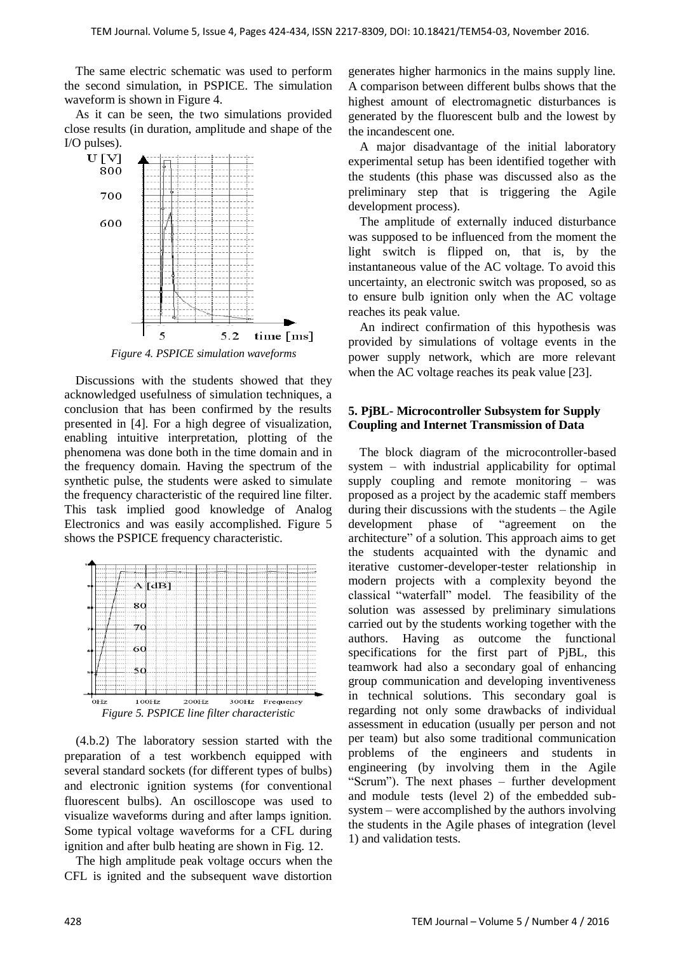The same electric schematic was used to perform the second simulation, in PSPICE. The simulation waveform is shown in Figure 4.

As it can be seen, the two simulations provided close results (in duration, amplitude and shape of the I/O pulses).



Discussions with the students showed that they acknowledged usefulness of simulation techniques, a conclusion that has been confirmed by the results presented in [4]. For a high degree of visualization, enabling intuitive interpretation, plotting of the phenomena was done both in the time domain and in the frequency domain. Having the spectrum of the synthetic pulse, the students were asked to simulate the frequency characteristic of the required line filter. This task implied good knowledge of Analog Electronics and was easily accomplished. Figure 5 shows the PSPICE frequency characteristic.



(4.b.2) The laboratory session started with the preparation of a test workbench equipped with several standard sockets (for different types of bulbs) and electronic ignition systems (for conventional fluorescent bulbs). An oscilloscope was used to visualize waveforms during and after lamps ignition. Some typical voltage waveforms for a CFL during ignition and after bulb heating are shown in Fig. 12.

The high amplitude peak voltage occurs when the CFL is ignited and the subsequent wave distortion generates higher harmonics in the mains supply line. A comparison between different bulbs shows that the highest amount of electromagnetic disturbances is generated by the fluorescent bulb and the lowest by the incandescent one.

A major disadvantage of the initial laboratory experimental setup has been identified together with the students (this phase was discussed also as the preliminary step that is triggering the Agile development process).

The amplitude of externally induced disturbance was supposed to be influenced from the moment the light switch is flipped on, that is, by the instantaneous value of the AC voltage. To avoid this uncertainty, an electronic switch was proposed, so as to ensure bulb ignition only when the AC voltage reaches its peak value.

An indirect confirmation of this hypothesis was provided by simulations of voltage events in the power supply network, which are more relevant when the AC voltage reaches its peak value [23].

## **5. PjBL- Microcontroller Subsystem for Supply Coupling and Internet Transmission of Data**

The block diagram of the microcontroller-based system – with industrial applicability for optimal supply coupling and remote monitoring – was proposed as a project by the academic staff members during their discussions with the students – the Agile development phase of "agreement on the architecture" of a solution. This approach aims to get the students acquainted with the dynamic and iterative customer-developer-tester relationship in modern projects with a complexity beyond the classical "waterfall" model. The feasibility of the solution was assessed by preliminary simulations carried out by the students working together with the authors. Having as outcome the functional specifications for the first part of PjBL, this teamwork had also a secondary goal of enhancing group communication and developing inventiveness in technical solutions. This secondary goal is regarding not only some drawbacks of individual assessment in education (usually per person and not per team) but also some traditional communication problems of the engineers and students in engineering (by involving them in the Agile "Scrum"). The next phases – further development and module tests (level 2) of the embedded subsystem – were accomplished by the authors involving the students in the Agile phases of integration (level 1) and validation tests.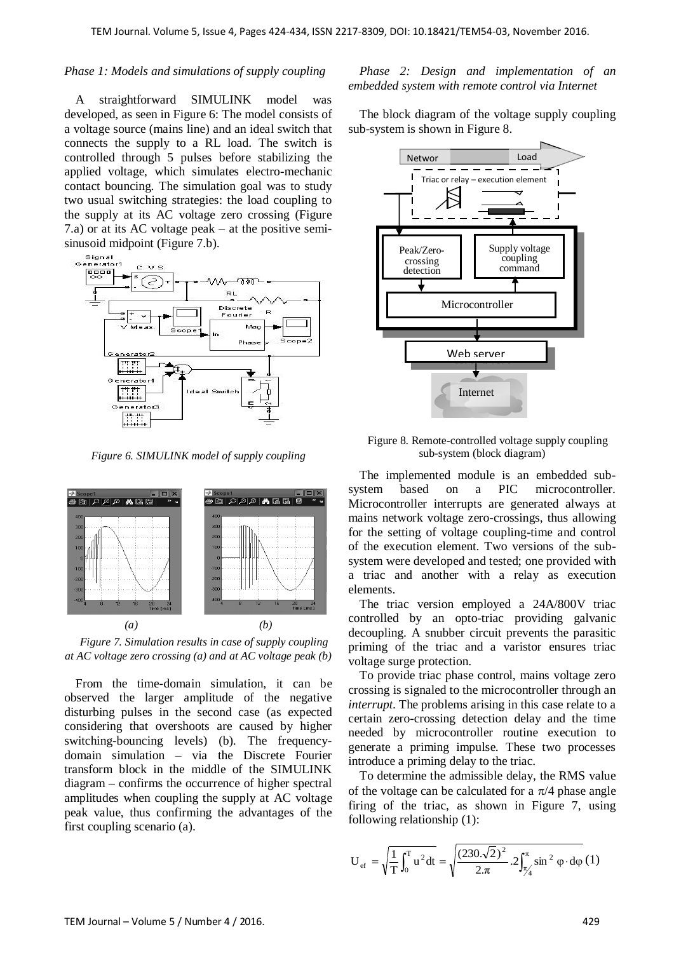#### *Phase 1: Models and simulations of supply coupling*

A straightforward SIMULINK model was developed, as seen in Figure 6: The model consists of a voltage source (mains line) and an ideal switch that connects the supply to a RL load. The switch is controlled through 5 pulses before stabilizing the applied voltage, which simulates electro-mechanic contact bouncing. The simulation goal was to study two usual switching strategies: the load coupling to the supply at its AC voltage zero crossing (Figure 7.a) or at its AC voltage peak – at the positive semisinusoid midpoint (Figure 7.b).



*Figure 6. SIMULINK model of supply coupling* 



*Figure 7. Simulation results in case of supply coupling at AC voltage zero crossing (a) and at AC voltage peak (b)*

From the time-domain simulation, it can be observed the larger amplitude of the negative disturbing pulses in the second case (as expected considering that overshoots are caused by higher switching-bouncing levels) (b). The frequencydomain simulation – via the Discrete Fourier transform block in the middle of the SIMULINK diagram – confirms the occurrence of higher spectral amplitudes when coupling the supply at AC voltage peak value, thus confirming the advantages of the first coupling scenario (a).

#### *Phase 2: Design and implementation of an embedded system with remote control via Internet*

The block diagram of the voltage supply coupling sub-system is shown in Figure 8.



Figure 8. Remote-controlled voltage supply coupling sub-system (block diagram)

The implemented module is an embedded subsystem based on a PIC microcontroller. Microcontroller interrupts are generated always at mains network voltage zero-crossings, thus allowing for the setting of voltage coupling-time and control of the execution element. Two versions of the subsystem were developed and tested; one provided with a triac and another with a relay as execution elements.

The triac version employed a 24A/800V triac controlled by an opto-triac providing galvanic decoupling. A snubber circuit prevents the parasitic priming of the triac and a varistor ensures triac voltage surge protection.

To provide triac phase control, mains voltage zero crossing is signaled to the microcontroller through an *interrupt*. The problems arising in this case relate to a certain zero-crossing detection delay and the time needed by microcontroller routine execution to generate a priming impulse. These two processes introduce a priming delay to the triac.

To determine the admissible delay, the RMS value of the voltage can be calculated for a  $\pi/4$  phase angle firing of the triac, as shown in Figure 7, using following relationship (1):

$$
U_{\text{ef}} = \sqrt{\frac{1}{T} \int_0^T u^2 dt} = \sqrt{\frac{(230.\sqrt{2})^2}{2.\pi} .2 \int_{\frac{\pi}{4}}^{\pi} \sin^2 \varphi \cdot d\varphi} (1)
$$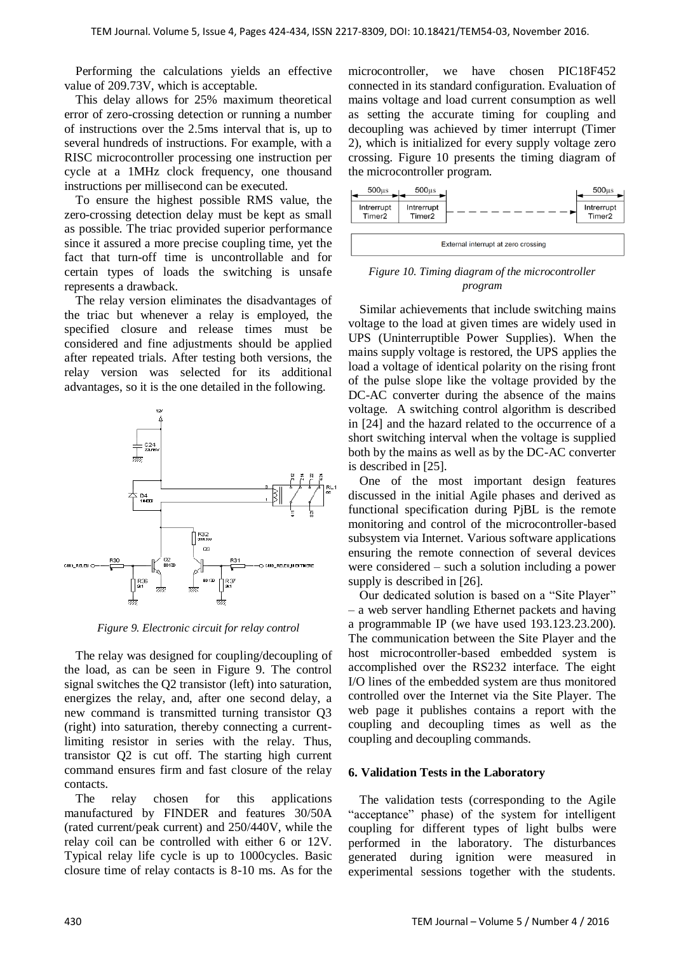Performing the calculations yields an effective value of 209.73V, which is acceptable.

This delay allows for 25% maximum theoretical error of zero-crossing detection or running a number of instructions over the 2.5ms interval that is, up to several hundreds of instructions. For example, with a RISC microcontroller processing one instruction per cycle at a 1MHz clock frequency, one thousand instructions per millisecond can be executed.

To ensure the highest possible RMS value, the zero-crossing detection delay must be kept as small as possible. The triac provided superior performance since it assured a more precise coupling time, yet the fact that turn-off time is uncontrollable and for certain types of loads the switching is unsafe represents a drawback.

The relay version eliminates the disadvantages of the triac but whenever a relay is employed, the specified closure and release times must be considered and fine adjustments should be applied after repeated trials. After testing both versions, the relay version was selected for its additional advantages, so it is the one detailed in the following.



*Figure 9. Electronic circuit for relay control*

The relay was designed for coupling/decoupling of the load, as can be seen in Figure 9. The control signal switches the Q2 transistor (left) into saturation, energizes the relay, and, after one second delay, a new command is transmitted turning transistor Q3 (right) into saturation, thereby connecting a currentlimiting resistor in series with the relay. Thus, transistor Q2 is cut off. The starting high current command ensures firm and fast closure of the relay contacts.

The relay chosen for this applications manufactured by FINDER and features 30/50A (rated current/peak current) and 250/440V, while the relay coil can be controlled with either 6 or 12V. Typical relay life cycle is up to 1000cycles. Basic closure time of relay contacts is 8-10 ms. As for the microcontroller, we have chosen PIC18F452 connected in its standard configuration. Evaluation of mains voltage and load current consumption as well as setting the accurate timing for coupling and decoupling was achieved by timer interrupt (Timer 2), which is initialized for every supply voltage zero crossing. Figure 10 presents the timing diagram of the microcontroller program.



#### *Figure 10. Timing diagram of the microcontroller program*

Similar achievements that include switching mains voltage to the load at given times are widely used in UPS (Uninterruptible Power Supplies). When the mains supply voltage is restored, the UPS applies the load a voltage of identical polarity on the rising front of the pulse slope like the voltage provided by the DC-AC converter during the absence of the mains voltage. A switching control algorithm is described in [24] and the hazard related to the occurrence of a short switching interval when the voltage is supplied both by the mains as well as by the DC-AC converter is described in [25].

One of the most important design features discussed in the initial Agile phases and derived as functional specification during PjBL is the remote monitoring and control of the microcontroller-based subsystem via Internet. Various software applications ensuring the remote connection of several devices were considered – such a solution including a power supply is described in [26].

Our dedicated solution is based on a "Site Player" – a web server handling Ethernet packets and having a programmable IP (we have used 193.123.23.200). The communication between the Site Player and the host microcontroller-based embedded system is accomplished over the RS232 interface. The eight I/O lines of the embedded system are thus monitored controlled over the Internet via the Site Player. The web page it publishes contains a report with the coupling and decoupling times as well as the coupling and decoupling commands.

## **6. Validation Tests in the Laboratory**

The validation tests (corresponding to the Agile "acceptance" phase) of the system for intelligent coupling for different types of light bulbs were performed in the laboratory. The disturbances generated during ignition were measured in experimental sessions together with the students.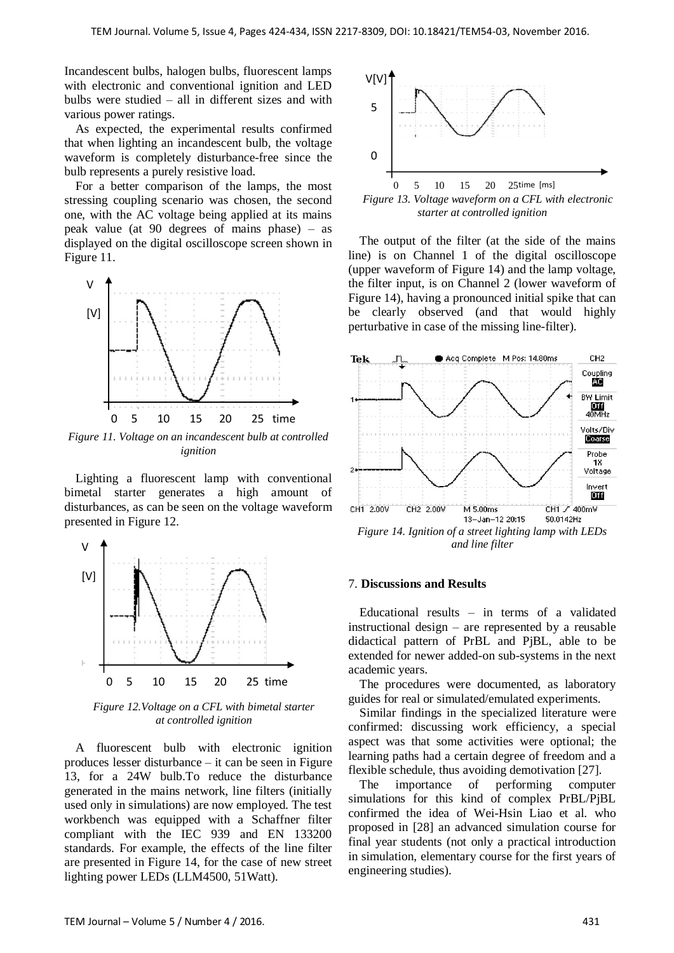Incandescent bulbs, halogen bulbs, fluorescent lamps with electronic and conventional ignition and LED bulbs were studied – all in different sizes and with various power ratings.

As expected, the experimental results confirmed that when lighting an incandescent bulb, the voltage waveform is completely disturbance-free since the bulb represents a purely resistive load.

For a better comparison of the lamps, the most stressing coupling scenario was chosen, the second one, with the AC voltage being applied at its mains peak value (at 90 degrees of mains phase) – as displayed on the digital oscilloscope screen shown in Figure 11.



Figure 11. Voltage on an incandescent bulb at controlled *ignition*

Lighting a fluorescent lamp with conventional bimetal starter generates a high amount of disturbances, as can be seen on the voltage waveform presented in Figure 12.



*Figure 12.Voltage on a CFL with bimetal starter* [ms] *at controlled ignition*

A fluorescent bulb with electronic ignition produces lesser disturbance – it can be seen in Figure 13, for a 24W bulb.To reduce the disturbance generated in the mains network, line filters (initially used only in simulations) are now employed. The test workbench was equipped with a Schaffner filter compliant with the IEC 939 and EN 133200 standards. For example, the effects of the line filter are presented in Figure 14, for the case of new street lighting power LEDs (LLM4500, 51Watt).



*starter at controlled ignition*

The output of the filter (at the side of the mains line) is on Channel 1 of the digital oscilloscope (upper waveform of Figure 14) and the lamp voltage, the filter input, is on Channel 2 (lower waveform of Figure 14), having a pronounced initial spike that can be clearly observed (and that would highly perturbative in case of the missing line-filter).



#### 7. **Discussions and Results**

Educational results – in terms of a validated instructional design – are represented by a reusable didactical pattern of PrBL and PjBL, able to be extended for newer added-on sub-systems in the next academic years.

The procedures were documented, as laboratory guides for real or simulated/emulated experiments.

Similar findings in the specialized literature were confirmed: discussing work efficiency, a special aspect was that some activities were optional; the learning paths had a certain degree of freedom and a flexible schedule, thus avoiding demotivation [27].

The importance of performing computer simulations for this kind of complex PrBL/PjBL confirmed the idea of Wei-Hsin Liao et al. who proposed in [28] an advanced simulation course for final year students (not only a practical introduction in simulation, elementary course for the first years of engineering studies).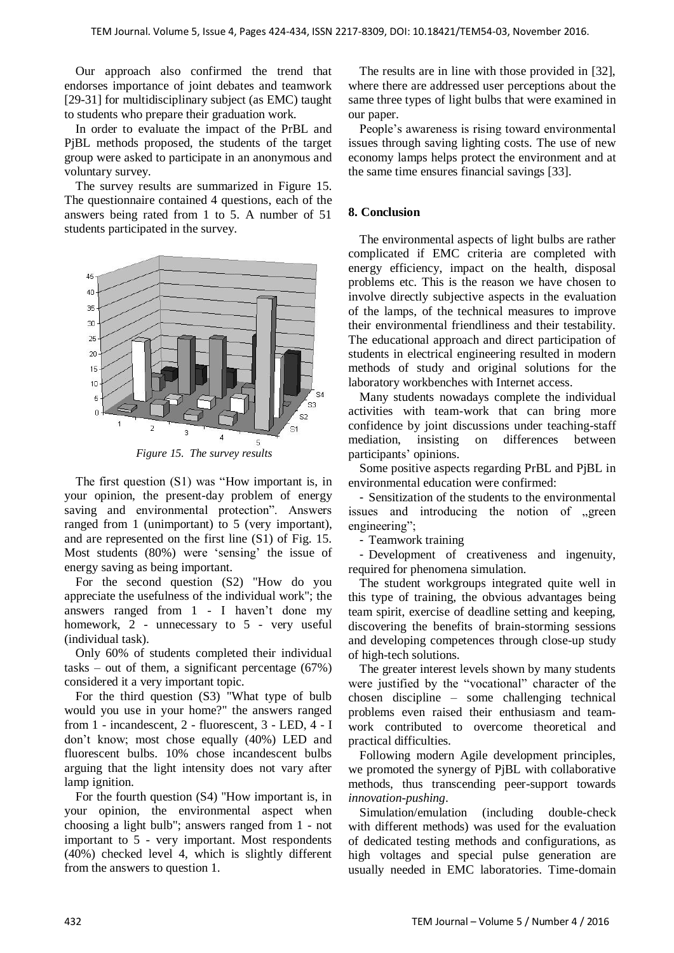Our approach also confirmed the trend that endorses importance of joint debates and teamwork [29-31] for multidisciplinary subject (as EMC) taught to students who prepare their graduation work.

In order to evaluate the impact of the PrBL and PjBL methods proposed, the students of the target group were asked to participate in an anonymous and voluntary survey.

The survey results are summarized in Figure 15. The questionnaire contained 4 questions, each of the answers being rated from 1 to 5. A number of 51 students participated in the survey.



*Figure 15. The survey results*

The first question (S1) was "How important is, in your opinion, the present-day problem of energy saving and environmental protection". Answers ranged from 1 (unimportant) to 5 (very important), and are represented on the first line (S1) of Fig. 15. Most students (80%) were 'sensing' the issue of energy saving as being important.

For the second question (S2) "How do you appreciate the usefulness of the individual work"; the answers ranged from 1 - I haven"t done my homework, 2 - unnecessary to 5 - very useful (individual task).

Only 60% of students completed their individual tasks – out of them, a significant percentage  $(67%)$ considered it a very important topic.

For the third question (S3) "What type of bulb would you use in your home?" the answers ranged from 1 - incandescent, 2 - fluorescent, 3 - LED, 4 - I don"t know; most chose equally (40%) LED and fluorescent bulbs. 10% chose incandescent bulbs arguing that the light intensity does not vary after lamp ignition.

For the fourth question (S4) "How important is, in your opinion, the environmental aspect when choosing a light bulb"; answers ranged from 1 - not important to 5 - very important. Most respondents (40%) checked level 4, which is slightly different from the answers to question 1.

The results are in line with those provided in [32], where there are addressed user perceptions about the same three types of light bulbs that were examined in our paper.

People's awareness is rising toward environmental issues through saving lighting costs. The use of new economy lamps helps protect the environment and at the same time ensures financial savings [33].

## **8. Conclusion**

The environmental aspects of light bulbs are rather complicated if EMC criteria are completed with energy efficiency, impact on the health, disposal problems etc. This is the reason we have chosen to involve directly subjective aspects in the evaluation of the lamps, of the technical measures to improve their environmental friendliness and their testability. The educational approach and direct participation of students in electrical engineering resulted in modern methods of study and original solutions for the laboratory workbenches with Internet access.

Many students nowadays complete the individual activities with team-work that can bring more confidence by joint discussions under teaching-staff mediation, insisting on differences between participants" opinions.

Some positive aspects regarding PrBL and PjBL in environmental education were confirmed:

- Sensitization of the students to the environmental issues and introducing the notion of "green engineering";

- Teamwork training

- Development of creativeness and ingenuity, required for phenomena simulation.

The student workgroups integrated quite well in this type of training, the obvious advantages being team spirit, exercise of deadline setting and keeping, discovering the benefits of brain-storming sessions and developing competences through close-up study of high-tech solutions.

The greater interest levels shown by many students were justified by the "vocational" character of the chosen discipline – some challenging technical problems even raised their enthusiasm and teamwork contributed to overcome theoretical and practical difficulties.

Following modern Agile development principles, we promoted the synergy of PjBL with collaborative methods, thus transcending peer-support towards *innovation-pushing*.

Simulation/emulation (including double-check with different methods) was used for the evaluation of dedicated testing methods and configurations, as high voltages and special pulse generation are usually needed in EMC laboratories. Time-domain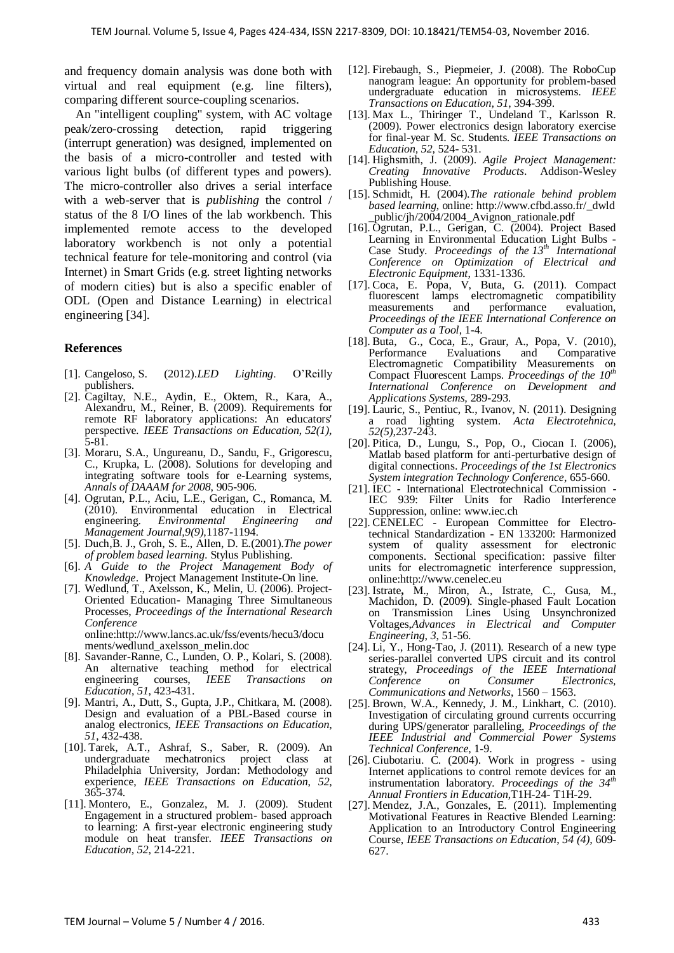and frequency domain analysis was done both with virtual and real equipment (e.g. line filters), comparing different source-coupling scenarios.

An "intelligent coupling" system, with AC voltage peak/zero-crossing detection, rapid triggering (interrupt generation) was designed, implemented on the basis of a micro-controller and tested with various light bulbs (of different types and powers). The micro-controller also drives a serial interface with a web-server that is *publishing* the control / status of the 8 I/O lines of the lab workbench. This implemented remote access to the developed laboratory workbench is not only a potential technical feature for tele-monitoring and control (via Internet) in Smart Grids (e.g. street lighting networks of modern cities) but is also a specific enabler of ODL (Open and Distance Learning) in electrical engineering [34].

## **References**

- [1]. [Cangeloso,](http://www.amazon.com/Sal-Cangeloso/e/B008NX0M90/ref=dp_byline_cont_book_1) S. (2012).*LED Lighting*. O"Reilly publishers.
- [2]. Cagiltay, N.E., Aydin, E., Oktem, R., Kara, A., Alexandru, M., Reiner, B. (2009). Requirements for remote RF laboratory applications: An educators' perspective. *IEEE Transactions on Education*, *52(1),* 5-81.
- [3]. Moraru, S.A., Ungureanu, D., Sandu, F., Grigorescu, C., Krupka, L. (2008). Solutions for developing and integrating software tools for e-Learning systems, *Annals of DAAAM for 2008*, 905-906.
- [4]. Ogrutan, P.L., Aciu, L.E., Gerigan, C., Romanca, M. (2010). Environmental education in Electrical engineering. *Environmental Engineering and* engineering. *Environmental Engineering and Management Journal,9(9),*1187-1194.
- [5]. Duch,B. J., Groh, S. E., Allen, D. E.(2001).*The power of problem based learning*. Stylus Publishing.
- [6]. *A Guide to the Project Management Body of Knowledge*. Project Management Institute-On line.
- [7]. Wedlund, T., Axelsson, K., Melin, U. (2006). Project-Oriented Education- Managing Three Simultaneous Processes, *Proceedings of the International Research Conference*  online:http://www.lancs.ac.uk/fss/events/hecu3/docu

ments/wedlund\_axelsson\_melin.doc

- [8]. Savander-Ranne, C., Lunden, O. P., Kolari, S. (2008). An alternative teaching method for electrical engineering courses, *IEEE Transactions on Education*, *51*, 423-431.
- [9]. Mantri, A., Dutt, S., Gupta, J.P., Chitkara, M. (2008). Design and evaluation of a PBL-Based course in analog electronics, *IEEE Transactions on Education*, *51*, 432-438.
- [10]. Tarek, A.T., Ashraf, S., Saber, R. (2009). An undergraduate mechatronics project class at Philadelphia University, Jordan: Methodology and experience, *IEEE Transactions on Education*, *52*, 365-374.
- [11]. Montero, E., Gonzalez, M. J. (2009). Student Engagement in a structured problem- based approach to learning: A first-year electronic engineering study module on heat transfer. *IEEE Transactions on Education, 52*, 214-221.
- [12]. Firebaugh, S., Piepmeier, J. (2008). The RoboCup nanogram league: An opportunity for problem-based undergraduate education in microsystems. *IEEE Transactions on Education, 51*, 394-399.
- [13]. Max L., Thiringer T., Undeland T., Karlsson R. (2009). Power electronics design laboratory exercise for final-year M. Sc. Students. *IEEE Transactions on Education, 52*, 524- 531.
- [14]. Highsmith, J. (2009). *Agile Project Management: Creating Innovative Products*. Addison-Wesley Publishing House.
- [15]. Schmidt, H. (2004).*The rationale behind problem based learning*, online: http://www.cfbd.asso.fr/\_dwld \_public/jh/2004/2004\_Avignon\_rationale.pdf
- [16]. Ogrutan, P.L., Gerigan, C. (2004). Project Based Learning in Environmental Education Light Bulbs - Case Study. *Proceedings of the 13th International Conference on Optimization of Electrical and Electronic Equipment*, 1331-1336.
- [17]. Coca, E. Popa, V, Buta, G. (2011). Compact fluorescent lamps electromagnetic compatibility measurements and performance evaluation, *Proceedings of the IEEE International Conference on Computer as a Tool*, 1-4.
- [18]. Buta, G., Coca, E., Graur, A., Popa, V. (2010), Evaluations Electromagnetic Compatibility Measurements on Compact Fluorescent Lamps. *Proceedings of the 10th International Conference on Development and Applications Systems,* 289-293.
- [19]. Lauric, S., Pentiuc, R., Ivanov, N. (2011). Designing a road lighting system. *Acta Electrotehnica, 52(5),*237-243.
- [20]. Pitica, D., Lungu, S., Pop, O., Ciocan I. (2006), Matlab based platform for anti-perturbative design of digital connections. *Proceedings of the 1st Electronics System integration Technology Conference*, 655-660.
- [21]. IEC International Electrotechnical Commission IEC 939: Filter Units for Radio Interference Suppression, online: www.iec.ch
- [22]. CENELEC European Committee for Electrotechnical Standardization - EN 133200: Harmonized system of quality assessment for electronic components. Sectional specification: passive filter units for electromagnetic interference suppression, online:http://www.cenelec.eu
- [23]. Istrate**,** M., Miron, A., Istrate, C., Gusa, M., Machidon, D. (2009). Single-phased Fault Location on Transmission Lines Using Unsynchronized Voltages,*Advances in Electrical and Computer Engineering*, *3*, 51-56.
- [24]. Li, Y., Hong-Tao, J.  $(2011)$ . Research of a new type series-parallel converted UPS circuit and its control strategy, *Proceedings of the IEEE International Conference on Consumer Electronics, Communications and Networks*, 1560 – 1563.
- [25]. Brown, W.A., Kennedy, J. M., Linkhart, C. (2010). Investigation of circulating ground currents occurring during UPS/generator paralleling, *Proceedings of the IEEE Industrial and Commercial Power Systems Technical Conference*, 1-9.
- [26]. Ciubotariu. C.  $(2004)$ . Work in progress using Internet applications to control remote devices for an instrumentation laboratory*. Proceedings of the 34th Annual Frontiers in Education*,T1H-24- T1H-29.
- [27]. Mendez, J.A., Gonzales, E. (2011). Implementing Motivational Features in Reactive Blended Learning: Application to an Introductory Control Engineering Course, *IEEE Transactions on Education*, *54 (4),* 609- 627.